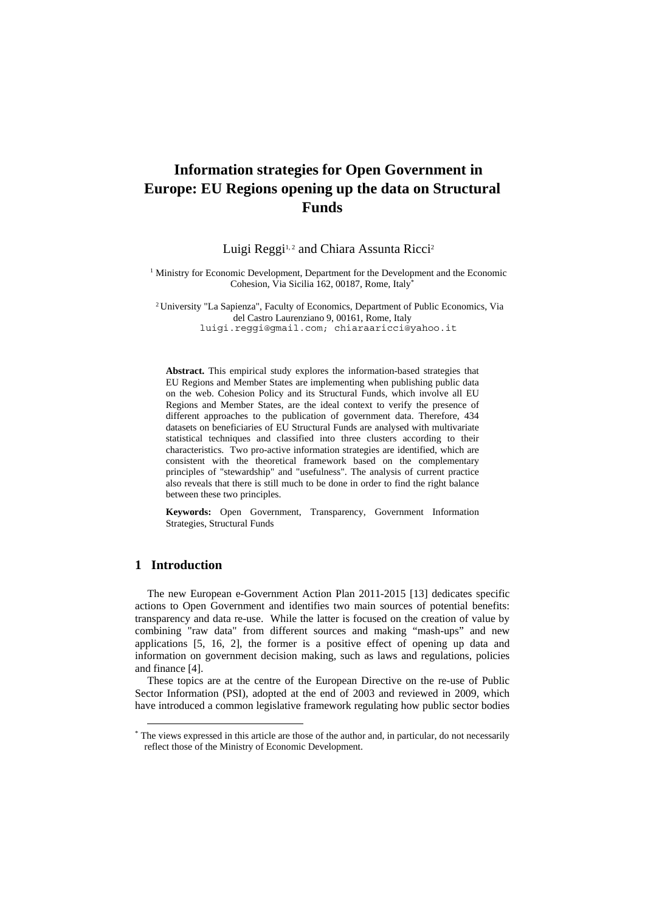# **Information strategies for Open Government in Europe: EU Regions opening up the data on Structural Funds**

Luigi Reggi<sup>1,2</sup> and Chiara Assunta Ricci<sup>2</sup>

1 Ministry for Economic Development, Department for the Development and the Economic Cohesion, Via Sicilia 162, 00187, Rome, Italy\*

2 University "La Sapienza", Faculty of Economics, Department of Public Economics, Via del Castro Laurenziano 9, 00161, Rome, Italy luigi.reggi@gmail.com; chiaraaricci@yahoo.it

**Abstract.** This empirical study explores the information-based strategies that EU Regions and Member States are implementing when publishing public data on the web. Cohesion Policy and its Structural Funds, which involve all EU Regions and Member States, are the ideal context to verify the presence of different approaches to the publication of government data. Therefore, 434 datasets on beneficiaries of EU Structural Funds are analysed with multivariate statistical techniques and classified into three clusters according to their characteristics. Two pro-active information strategies are identified, which are consistent with the theoretical framework based on the complementary principles of "stewardship" and "usefulness". The analysis of current practice also reveals that there is still much to be done in order to find the right balance between these two principles.

**Keywords:** Open Government, Transparency, Government Information Strategies, Structural Funds

## **1 Introduction**

The new European e-Government Action Plan 2011-2015 [13] dedicates specific actions to Open Government and identifies two main sources of potential benefits: transparency and data re-use. While the latter is focused on the creation of value by combining "raw data" from different sources and making "mash-ups" and new applications [5, 16, 2], the former is a positive effect of opening up data and information on government decision making, such as laws and regulations, policies and finance [4].

These topics are at the centre of the European Directive on the re-use of Public Sector Information (PSI), adopted at the end of 2003 and reviewed in 2009, which have introduced a common legislative framework regulating how public sector bodies

The views expressed in this article are those of the author and, in particular, do not necessarily reflect those of the Ministry of Economic Development.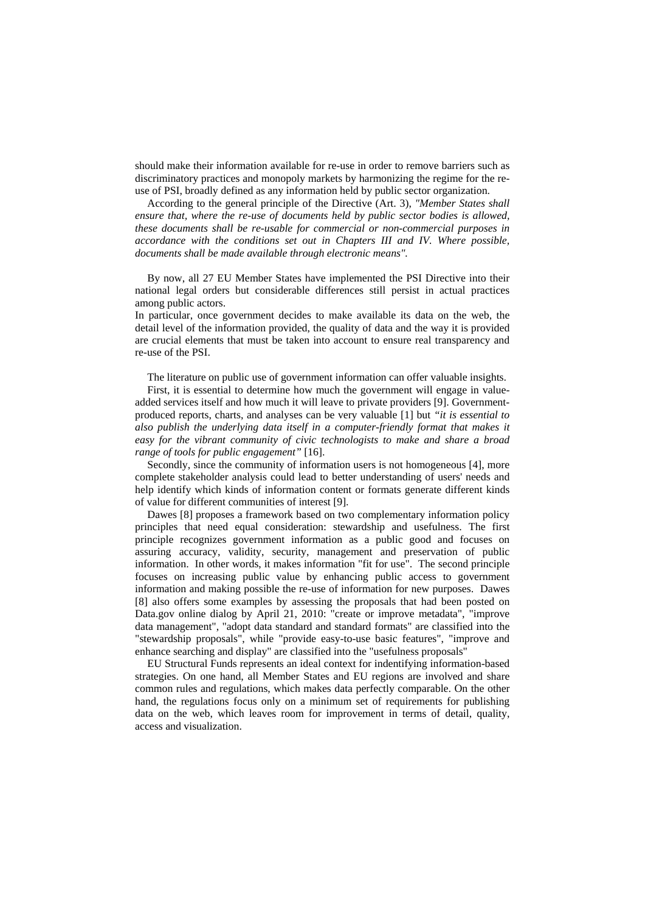should make their information available for re-use in order to remove barriers such as discriminatory practices and monopoly markets by harmonizing the regime for the reuse of PSI, broadly defined as any information held by public sector organization.

According to the general principle of the Directive (Art. 3), *"Member States shall ensure that, where the re-use of documents held by public sector bodies is allowed, these documents shall be re-usable for commercial or non-commercial purposes in accordance with the conditions set out in Chapters III and IV. Where possible, documents shall be made available through electronic means".*

By now, all 27 EU Member States have implemented the PSI Directive into their national legal orders but considerable differences still persist in actual practices among public actors.

In particular, once government decides to make available its data on the web, the detail level of the information provided, the quality of data and the way it is provided are crucial elements that must be taken into account to ensure real transparency and re-use of the PSI.

The literature on public use of government information can offer valuable insights.

First, it is essential to determine how much the government will engage in valueadded services itself and how much it will leave to private providers [9]. Governmentproduced reports, charts, and analyses can be very valuable [1] but *"it is essential to also publish the underlying data itself in a computer-friendly format that makes it easy for the vibrant community of civic technologists to make and share a broad range of tools for public engagement"* [16].

Secondly, since the community of information users is not homogeneous [4], more complete stakeholder analysis could lead to better understanding of users' needs and help identify which kinds of information content or formats generate different kinds of value for different communities of interest [9].

Dawes [8] proposes a framework based on two complementary information policy principles that need equal consideration: stewardship and usefulness. The first principle recognizes government information as a public good and focuses on assuring accuracy, validity, security, management and preservation of public information. In other words, it makes information "fit for use". The second principle focuses on increasing public value by enhancing public access to government information and making possible the re-use of information for new purposes. Dawes [8] also offers some examples by assessing the proposals that had been posted on Data.gov online dialog by April 21, 2010: "create or improve metadata", "improve data management", "adopt data standard and standard formats" are classified into the "stewardship proposals", while "provide easy-to-use basic features", "improve and enhance searching and display" are classified into the "usefulness proposals"

EU Structural Funds represents an ideal context for indentifying information-based strategies. On one hand, all Member States and EU regions are involved and share common rules and regulations, which makes data perfectly comparable. On the other hand, the regulations focus only on a minimum set of requirements for publishing data on the web, which leaves room for improvement in terms of detail, quality, access and visualization.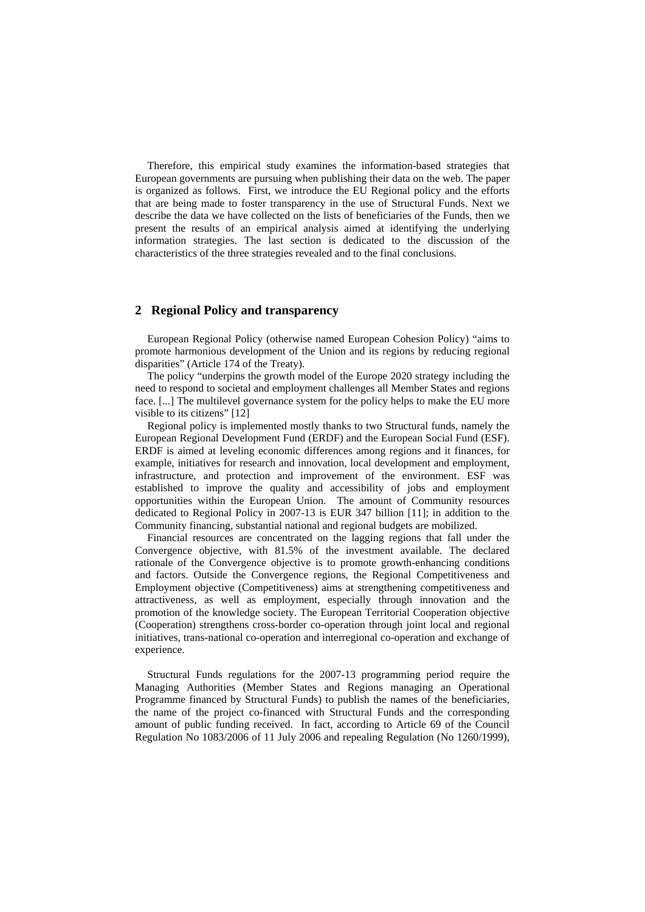Therefore, this empirical study examines the information-based strategies that European governments are pursuing when publishing their data on the web. The paper is organized as follows. First, we introduce the EU Regional policy and the efforts that are being made to foster transparency in the use of Structural Funds. Next we describe the data we have collected on the lists of beneficiaries of the Funds, then we present the results of an empirical analysis aimed at identifying the underlying information strategies. The last section is dedicated to the discussion of the characteristics of the three strategies revealed and to the final conclusions.

## **2 Regional Policy and transparency**

European Regional Policy (otherwise named European Cohesion Policy) "aims to promote harmonious development of the Union and its regions by reducing regional disparities" (Article 174 of the Treaty).

The policy "underpins the growth model of the Europe 2020 strategy including the need to respond to societal and employment challenges all Member States and regions face. [...] The multilevel governance system for the policy helps to make the EU more visible to its citizens" [12]

Regional policy is implemented mostly thanks to two Structural funds, namely the European Regional Development Fund (ERDF) and the European Social Fund (ESF). ERDF is aimed at leveling economic differences among regions and it finances, for example, initiatives for research and innovation, local development and employment, infrastructure, and protection and improvement of the environment. ESF was established to improve the quality and accessibility of jobs and employment opportunities within the European Union. The amount of Community resources dedicated to Regional Policy in 2007-13 is EUR 347 billion [11]; in addition to the Community financing, substantial national and regional budgets are mobilized.

Financial resources are concentrated on the lagging regions that fall under the Convergence objective, with 81.5% of the investment available. The declared rationale of the Convergence objective is to promote growth-enhancing conditions and factors. Outside the Convergence regions, the Regional Competitiveness and Employment objective (Competitiveness) aims at strengthening competitiveness and attractiveness, as well as employment, especially through innovation and the promotion of the knowledge society. The European Territorial Cooperation objective (Cooperation) strengthens cross-border co-operation through joint local and regional initiatives, trans-national co-operation and interregional co-operation and exchange of experience.

Structural Funds regulations for the 2007-13 programming period require the Managing Authorities (Member States and Regions managing an Operational Programme financed by Structural Funds) to publish the names of the beneficiaries, the name of the project co-financed with Structural Funds and the corresponding amount of public funding received. In fact, according to Article 69 of the Council Regulation No 1083/2006 of 11 July 2006 and repealing Regulation (No 1260/1999),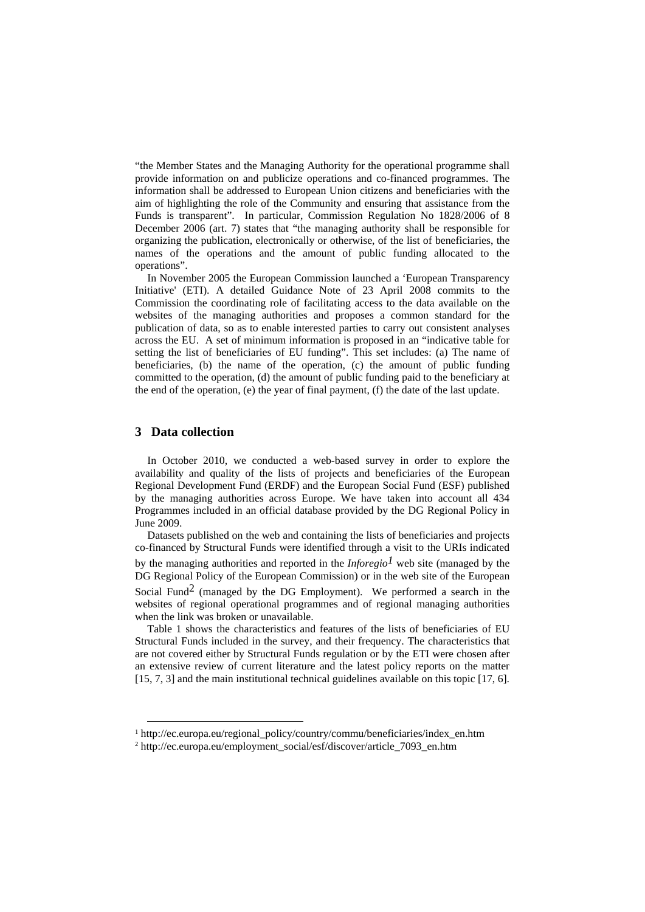"the Member States and the Managing Authority for the operational programme shall provide information on and publicize operations and co-financed programmes. The information shall be addressed to European Union citizens and beneficiaries with the aim of highlighting the role of the Community and ensuring that assistance from the Funds is transparent". In particular, Commission Regulation No 1828/2006 of 8 December 2006 (art. 7) states that "the managing authority shall be responsible for organizing the publication, electronically or otherwise, of the list of beneficiaries, the names of the operations and the amount of public funding allocated to the operations".

In November 2005 the European Commission launched a 'European Transparency Initiative' (ETI). A detailed Guidance Note of 23 April 2008 commits to the Commission the coordinating role of facilitating access to the data available on the websites of the managing authorities and proposes a common standard for the publication of data, so as to enable interested parties to carry out consistent analyses across the EU. A set of minimum information is proposed in an "indicative table for setting the list of beneficiaries of EU funding". This set includes: (a) The name of beneficiaries, (b) the name of the operation, (c) the amount of public funding committed to the operation, (d) the amount of public funding paid to the beneficiary at the end of the operation, (e) the year of final payment, (f) the date of the last update.

## **3 Data collection**

In October 2010, we conducted a web-based survey in order to explore the availability and quality of the lists of projects and beneficiaries of the European Regional Development Fund (ERDF) and the European Social Fund (ESF) published by the managing authorities across Europe. We have taken into account all 434 Programmes included in an official database provided by the DG Regional Policy in June 2009.

Datasets published on the web and containing the lists of beneficiaries and projects co-financed by Structural Funds were identified through a visit to the URIs indicated by the managing authorities and reported in the *Inforegio*<sup>1</sup> web site (managed by the DG Regional Policy of the European Commission) or in the web site of the European Social Fund2 (managed by the DG Employment). We performed a search in the websites of regional operational programmes and of regional managing authorities when the link was broken or unavailable.

Table 1 shows the characteristics and features of the lists of beneficiaries of EU Structural Funds included in the survey, and their frequency. The characteristics that are not covered either by Structural Funds regulation or by the ETI were chosen after an extensive review of current literature and the latest policy reports on the matter [15, 7, 3] and the main institutional technical guidelines available on this topic [17, 6].

<sup>&</sup>lt;sup>1</sup> http://ec.europa.eu/regional\_policy/country/commu/beneficiaries/index\_en.htm

<sup>2</sup> http://ec.europa.eu/employment\_social/esf/discover/article\_7093\_en.htm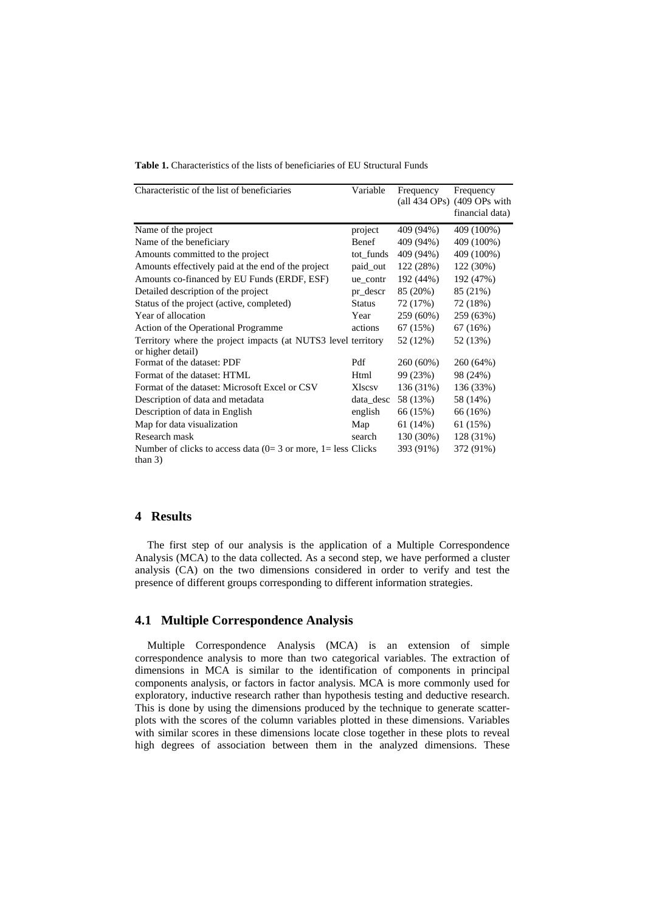**Table 1.** Characteristics of the lists of beneficiaries of EU Structural Funds

| Characteristic of the list of beneficiaries                       | Variable      | Frequency | Frequency<br>(all $434$ OPs) $(409$ OPs with<br>financial data) |
|-------------------------------------------------------------------|---------------|-----------|-----------------------------------------------------------------|
| Name of the project                                               | project       | 409 (94%) | 409 (100%)                                                      |
| Name of the beneficiary                                           | Benef         | 409 (94%) | 409 (100%)                                                      |
| Amounts committed to the project                                  | tot_funds     | 409 (94%) | 409 (100%)                                                      |
| Amounts effectively paid at the end of the project                | paid_out      | 122(28%)  | 122 (30%)                                                       |
| Amounts co-financed by EU Funds (ERDF, ESF)                       | ue_contr      | 192 (44%) | 192 (47%)                                                       |
| Detailed description of the project                               | pr_descr      | 85 (20%)  | 85 (21%)                                                        |
| Status of the project (active, completed)                         | <b>Status</b> | 72 (17%)  | 72 (18%)                                                        |
| Year of allocation                                                | Year          | 259 (60%) | 259 (63%)                                                       |
| Action of the Operational Programme                               | actions       | 67 (15%)  | 67 (16%)                                                        |
| Territory where the project impacts (at NUTS3 level territory     |               | 52 (12%)  | 52 (13%)                                                        |
| or higher detail)                                                 |               |           |                                                                 |
| Format of the dataset: PDF                                        | Pdf           | 260 (60%) | 260 (64%)                                                       |
| Format of the dataset: HTML                                       | Html          | 99 (23%)  | 98 (24%)                                                        |
| Format of the dataset: Microsoft Excel or CSV                     | Xlscsv        | 136 (31%) | 136 (33%)                                                       |
| Description of data and metadata                                  | data_desc     | 58 (13%)  | 58 (14%)                                                        |
| Description of data in English                                    | english       | 66 (15%)  | 66 (16%)                                                        |
| Map for data visualization                                        | Map           | 61 (14%)  | 61(15%)                                                         |
| Research mask                                                     | search        | 130 (30%) | 128 (31%)                                                       |
| Number of clicks to access data ( $0=3$ or more, $1=$ less Clicks |               | 393 (91%) | 372 (91%)                                                       |
| than $3)$                                                         |               |           |                                                                 |

## **4 Results**

The first step of our analysis is the application of a Multiple Correspondence Analysis (MCA) to the data collected. As a second step, we have performed a cluster analysis (CA) on the two dimensions considered in order to verify and test the presence of different groups corresponding to different information strategies.

## **4.1 Multiple Correspondence Analysis**

Multiple Correspondence Analysis (MCA) is an extension of simple correspondence analysis to more than two categorical variables. The extraction of dimensions in MCA is similar to the identification of components in principal components analysis, or factors in factor analysis. MCA is more commonly used for exploratory, inductive research rather than hypothesis testing and deductive research. This is done by using the dimensions produced by the technique to generate scatterplots with the scores of the column variables plotted in these dimensions. Variables with similar scores in these dimensions locate close together in these plots to reveal high degrees of association between them in the analyzed dimensions. These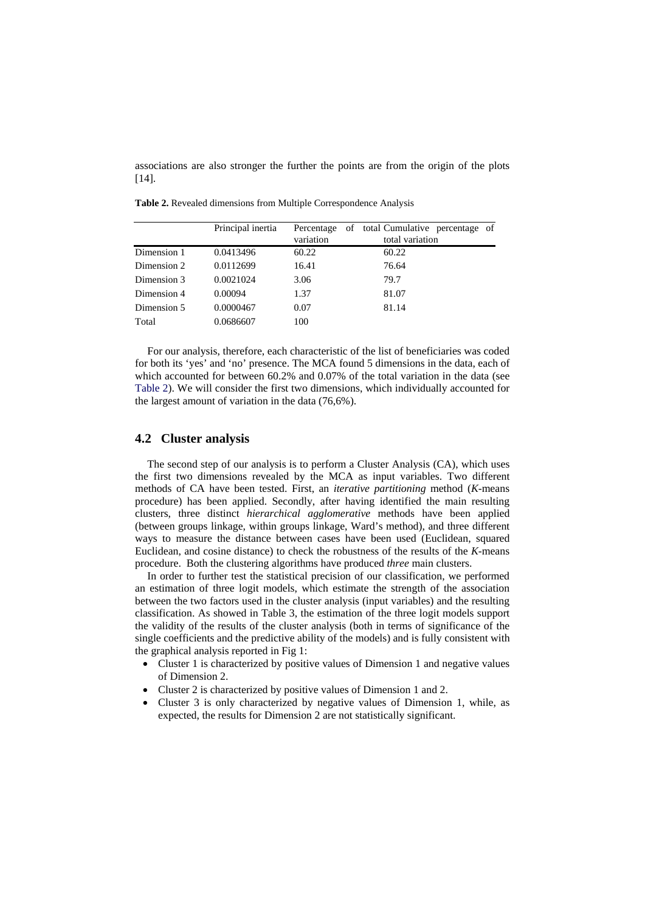associations are also stronger the further the points are from the origin of the plots [14].

|             | Principal inertia | Percentage | of total Cumulative percentage of |
|-------------|-------------------|------------|-----------------------------------|
|             |                   | variation  | total variation                   |
| Dimension 1 | 0.0413496         | 60.22      | 60.22                             |
| Dimension 2 | 0.0112699         | 16.41      | 76.64                             |
| Dimension 3 | 0.0021024         | 3.06       | 79.7                              |
| Dimension 4 | 0.00094           | 1.37       | 81.07                             |
| Dimension 5 | 0.0000467         | 0.07       | 81.14                             |
| Total       | 0.0686607         | 100        |                                   |

**Table 2.** Revealed dimensions from Multiple Correspondence Analysis

For our analysis, therefore, each characteristic of the list of beneficiaries was coded for both its 'yes' and 'no' presence. The MCA found 5 dimensions in the data, each of which accounted for between 60.2% and 0.07% of the total variation in the data (see Table 2). We will consider the first two dimensions, which individually accounted for the largest amount of variation in the data (76,6%).

## **4.2 Cluster analysis**

The second step of our analysis is to perform a Cluster Analysis (CA), which uses the first two dimensions revealed by the MCA as input variables. Two different methods of CA have been tested. First, an *iterative partitioning* method (*K*-means procedure) has been applied. Secondly, after having identified the main resulting clusters, three distinct *hierarchical agglomerative* methods have been applied (between groups linkage, within groups linkage, Ward's method), and three different ways to measure the distance between cases have been used (Euclidean, squared Euclidean, and cosine distance) to check the robustness of the results of the *K*-means procedure. Both the clustering algorithms have produced *three* main clusters.

In order to further test the statistical precision of our classification, we performed an estimation of three logit models, which estimate the strength of the association between the two factors used in the cluster analysis (input variables) and the resulting classification. As showed in Table 3, the estimation of the three logit models support the validity of the results of the cluster analysis (both in terms of significance of the single coefficients and the predictive ability of the models) and is fully consistent with the graphical analysis reported in Fig 1:

- Cluster 1 is characterized by positive values of Dimension 1 and negative values of Dimension 2.
- Cluster 2 is characterized by positive values of Dimension 1 and 2.
- Cluster 3 is only characterized by negative values of Dimension 1, while, as expected, the results for Dimension 2 are not statistically significant.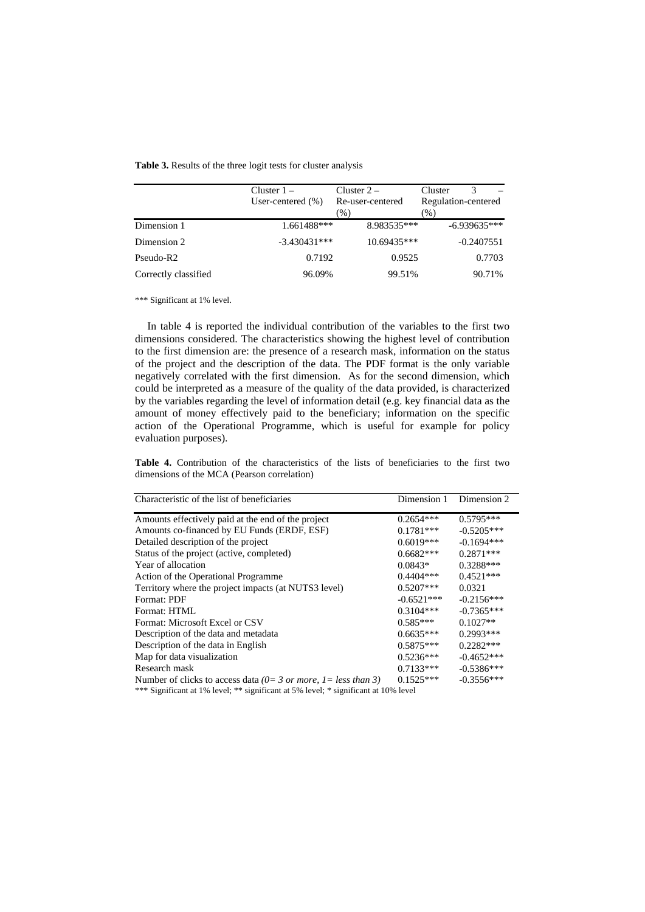**Table 3.** Results of the three logit tests for cluster analysis

|                      | Cluster $1 -$<br>User-centered $(\% )$ | Cluster $2-$<br>Re-user-centered<br>$(\%)$ | 3<br>Cluster<br>Regulation-centered<br>$(\%)$ |
|----------------------|----------------------------------------|--------------------------------------------|-----------------------------------------------|
| Dimension 1          | 1.661488***                            | 8.983535***                                | $-6.939635***$                                |
| Dimension 2          | $-3.430431***$                         | 10.69435***                                | $-0.2407551$                                  |
| $Pseudo-R2$          | 0.7192                                 | 0.9525                                     | 0.7703                                        |
| Correctly classified | 96.09%                                 | 99.51%                                     | 90.71%                                        |

\*\*\* Significant at 1% level.

In table 4 is reported the individual contribution of the variables to the first two dimensions considered. The characteristics showing the highest level of contribution to the first dimension are: the presence of a research mask, information on the status of the project and the description of the data. The PDF format is the only variable negatively correlated with the first dimension. As for the second dimension, which could be interpreted as a measure of the quality of the data provided, is characterized by the variables regarding the level of information detail (e.g. key financial data as the amount of money effectively paid to the beneficiary; information on the specific action of the Operational Programme, which is useful for example for policy evaluation purposes).

**Table 4.** Contribution of the characteristics of the lists of beneficiaries to the first two dimensions of the MCA (Pearson correlation)

| Characteristic of the list of beneficiaries                                         | Dimension 1  | Dimension 2  |  |  |
|-------------------------------------------------------------------------------------|--------------|--------------|--|--|
| Amounts effectively paid at the end of the project                                  | $0.2654***$  | $0.5795***$  |  |  |
| Amounts co-financed by EU Funds (ERDF, ESF)                                         | $0.1781***$  | $-0.5205***$ |  |  |
| Detailed description of the project                                                 | $0.6019***$  | $-0.1694***$ |  |  |
| Status of the project (active, completed)                                           | $0.6682***$  | $0.2871***$  |  |  |
| Year of allocation                                                                  | $0.0843*$    | $0.3288***$  |  |  |
| Action of the Operational Programme                                                 | $0.4404***$  | $0.4521***$  |  |  |
| Territory where the project impacts (at NUTS3 level)                                | $0.5207***$  | 0.0321       |  |  |
| Format: PDF                                                                         | $-0.6521***$ | $-0.2156***$ |  |  |
| Format: HTML                                                                        | $0.3104***$  | $-0.7365***$ |  |  |
| Format: Microsoft Excel or CSV                                                      | $0.585***$   | $0.1027**$   |  |  |
| Description of the data and metadata                                                | $0.6635***$  | $0.2993***$  |  |  |
| Description of the data in English                                                  | $0.5875***$  | $0.2282***$  |  |  |
| Map for data visualization                                                          | $0.5236***$  | $-0.4652***$ |  |  |
| Research mask                                                                       | $0.7133***$  | $-0.5386***$ |  |  |
| Number of clicks to access data ( $0=3$ or more, $1=$ less than 3)                  | $0.1525***$  | $-0.3556***$ |  |  |
| *** Significant at 1% level; ** significant at 5% level; * significant at 10% level |              |              |  |  |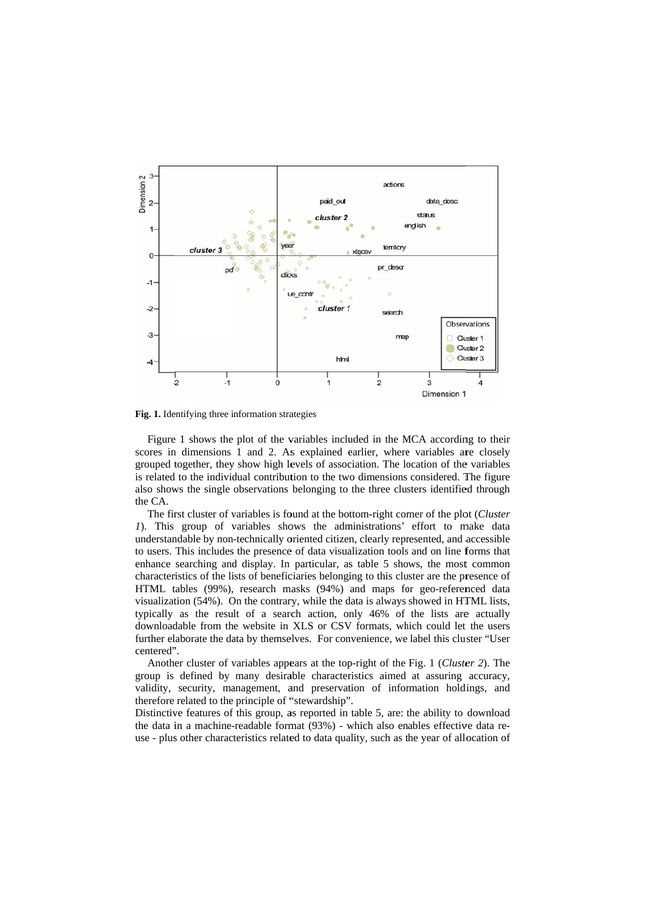

Fig. 1. Identifying three information strategies

Figure 1 shows the plot of the variables included in the MCA according to their scores in dimensions 1 and 2. As explained earlier, where variables are closely grouped together, they show high levels of association. The location of the variables is related to the individual contribution to the two dimensions considered. The figure also shows the single observations belonging to the three clusters identified through the CA.

The first cluster of variables is found at the bottom-right corner of the plot (*Cluster* 1). This group of variables shows the administrations' effort to make data understandable by non-technically oriented citizen, clearly represented, and accessible to users. This includes the presence of data visualization tools and on line forms that enhance searching and display. In particular, as table 5 shows, the most common characteristics of the lists of beneficiaries belonging to this cluster are the presence of HTML tables (99%), research masks (94%) and maps for geo-referenced data visualization (54%). On the contrary, while the data is always showed in HTML lists, typically as the result of a search action, only 46% of the lists are actually downloadable from the website in XLS or CSV formats, which could let the users further elaborate the data by themselves. For convenience, we label this cluster "User centered".

Another cluster of variables appears at the top-right of the Fig. 1 (*Cluster 2*). The group is defined by many desirable characteristics aimed at assuring accuracy, validity, security, management, and preservation of information holdings, and therefore related to the principle of "stewardship".

Distinctive features of this group, as reported in table 5, are: the ability to download the data in a machine-readable format (93%) - which also enables effective data reuse - plus other characteristics related to data quality, such as the year of allocation of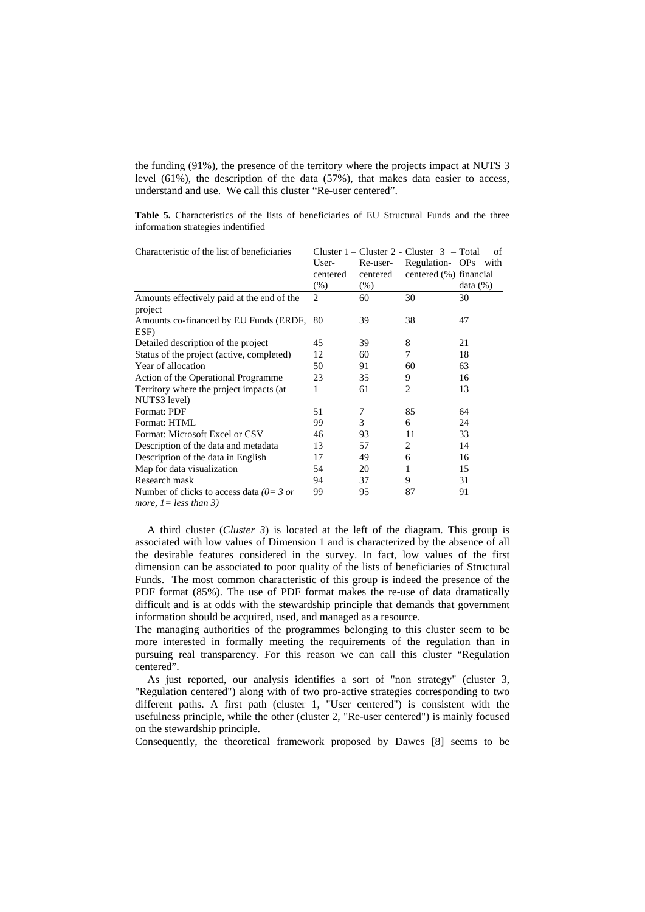the funding (91%), the presence of the territory where the projects impact at NUTS 3 level (61%), the description of the data (57%), that makes data easier to access, understand and use. We call this cluster "Re-user centered".

**Table 5.** Characteristics of the lists of beneficiaries of EU Structural Funds and the three information strategies indentified

| Characteristic of the list of beneficiaries |          |          | Cluster $1$ – Cluster 2 - Cluster $3$ – Total | of       |
|---------------------------------------------|----------|----------|-----------------------------------------------|----------|
|                                             | User-    | Re-user- | Regulation- OPs with                          |          |
|                                             | centered | centered | centered (%) financial                        |          |
|                                             | (% )     | (% )     |                                               | data (%) |
| Amounts effectively paid at the end of the  | 2        | 60       | 30                                            | 30       |
| project                                     |          |          |                                               |          |
| Amounts co-financed by EU Funds (ERDF,      | 80       | 39       | 38                                            | 47       |
| ESF)                                        |          |          |                                               |          |
| Detailed description of the project         | 45       | 39       | 8                                             | 21       |
| Status of the project (active, completed)   | 12       | 60       | 7                                             | 18       |
| Year of allocation                          | 50       | 91       | 60                                            | 63       |
| Action of the Operational Programme         | 23       | 35       | 9                                             | 16       |
| Territory where the project impacts (at     | 1        | 61       | $\overline{c}$                                | 13       |
| NUTS3 level)                                |          |          |                                               |          |
| Format: PDF                                 | 51       | 7        | 85                                            | 64       |
| Format: HTML                                | 99       | 3        | 6                                             | 24       |
| Format: Microsoft Excel or CSV              | 46       | 93       | 11                                            | 33       |
| Description of the data and metadata        | 13       | 57       | 2                                             | 14       |
| Description of the data in English          | 17       | 49       | 6                                             | 16       |
| Map for data visualization                  | 54       | 20       | 1                                             | 15       |
| Research mask                               | 94       | 37       | 9                                             | 31       |
| Number of clicks to access data ( $0=3$ or  | 99       | 95       | 87                                            | 91       |
| more, $l = less than 3$ )                   |          |          |                                               |          |

A third cluster (*Cluster 3*) is located at the left of the diagram. This group is associated with low values of Dimension 1 and is characterized by the absence of all the desirable features considered in the survey. In fact, low values of the first dimension can be associated to poor quality of the lists of beneficiaries of Structural Funds. The most common characteristic of this group is indeed the presence of the PDF format (85%). The use of PDF format makes the re-use of data dramatically difficult and is at odds with the stewardship principle that demands that government information should be acquired, used, and managed as a resource.

The managing authorities of the programmes belonging to this cluster seem to be more interested in formally meeting the requirements of the regulation than in pursuing real transparency. For this reason we can call this cluster "Regulation centered".

As just reported, our analysis identifies a sort of "non strategy" (cluster 3, "Regulation centered") along with of two pro-active strategies corresponding to two different paths. A first path (cluster 1, "User centered") is consistent with the usefulness principle, while the other (cluster 2, "Re-user centered") is mainly focused on the stewardship principle.

Consequently, the theoretical framework proposed by Dawes [8] seems to be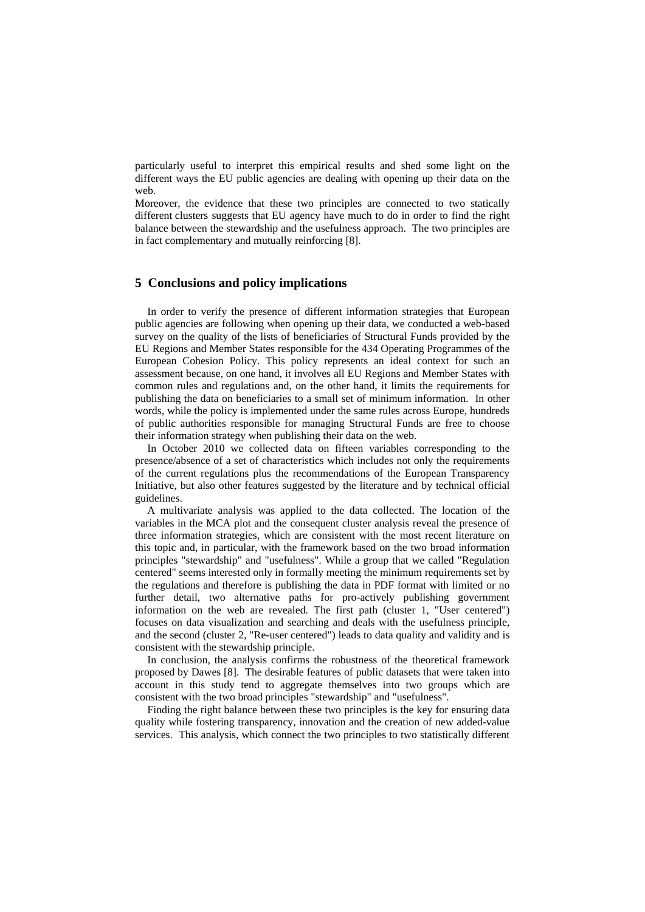particularly useful to interpret this empirical results and shed some light on the different ways the EU public agencies are dealing with opening up their data on the web.

Moreover, the evidence that these two principles are connected to two statically different clusters suggests that EU agency have much to do in order to find the right balance between the stewardship and the usefulness approach. The two principles are in fact complementary and mutually reinforcing [8].

## **5 Conclusions and policy implications**

In order to verify the presence of different information strategies that European public agencies are following when opening up their data, we conducted a web-based survey on the quality of the lists of beneficiaries of Structural Funds provided by the EU Regions and Member States responsible for the 434 Operating Programmes of the European Cohesion Policy. This policy represents an ideal context for such an assessment because, on one hand, it involves all EU Regions and Member States with common rules and regulations and, on the other hand, it limits the requirements for publishing the data on beneficiaries to a small set of minimum information. In other words, while the policy is implemented under the same rules across Europe, hundreds of public authorities responsible for managing Structural Funds are free to choose their information strategy when publishing their data on the web.

In October 2010 we collected data on fifteen variables corresponding to the presence/absence of a set of characteristics which includes not only the requirements of the current regulations plus the recommendations of the European Transparency Initiative, but also other features suggested by the literature and by technical official guidelines.

A multivariate analysis was applied to the data collected. The location of the variables in the MCA plot and the consequent cluster analysis reveal the presence of three information strategies, which are consistent with the most recent literature on this topic and, in particular, with the framework based on the two broad information principles "stewardship" and "usefulness". While a group that we called "Regulation centered" seems interested only in formally meeting the minimum requirements set by the regulations and therefore is publishing the data in PDF format with limited or no further detail, two alternative paths for pro-actively publishing government information on the web are revealed. The first path (cluster 1, "User centered") focuses on data visualization and searching and deals with the usefulness principle, and the second (cluster 2, "Re-user centered") leads to data quality and validity and is consistent with the stewardship principle.

In conclusion, the analysis confirms the robustness of the theoretical framework proposed by Dawes [8]. The desirable features of public datasets that were taken into account in this study tend to aggregate themselves into two groups which are consistent with the two broad principles "stewardship" and "usefulness".

Finding the right balance between these two principles is the key for ensuring data quality while fostering transparency, innovation and the creation of new added-value services. This analysis, which connect the two principles to two statistically different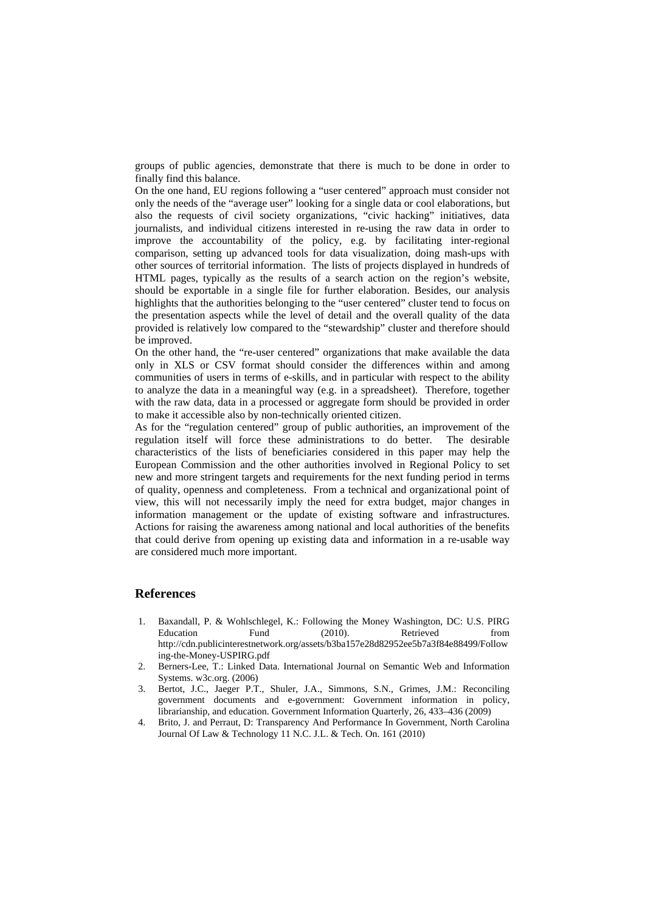groups of public agencies, demonstrate that there is much to be done in order to finally find this balance.

On the one hand, EU regions following a "user centered" approach must consider not only the needs of the "average user" looking for a single data or cool elaborations, but also the requests of civil society organizations, "civic hacking" initiatives, data journalists, and individual citizens interested in re-using the raw data in order to improve the accountability of the policy, e.g. by facilitating inter-regional comparison, setting up advanced tools for data visualization, doing mash-ups with other sources of territorial information. The lists of projects displayed in hundreds of HTML pages, typically as the results of a search action on the region's website, should be exportable in a single file for further elaboration. Besides, our analysis highlights that the authorities belonging to the "user centered" cluster tend to focus on the presentation aspects while the level of detail and the overall quality of the data provided is relatively low compared to the "stewardship" cluster and therefore should be improved.

On the other hand, the "re-user centered" organizations that make available the data only in XLS or CSV format should consider the differences within and among communities of users in terms of e-skills, and in particular with respect to the ability to analyze the data in a meaningful way (e.g. in a spreadsheet). Therefore, together with the raw data, data in a processed or aggregate form should be provided in order to make it accessible also by non-technically oriented citizen.

As for the "regulation centered" group of public authorities, an improvement of the regulation itself will force these administrations to do better. The desirable characteristics of the lists of beneficiaries considered in this paper may help the European Commission and the other authorities involved in Regional Policy to set new and more stringent targets and requirements for the next funding period in terms of quality, openness and completeness. From a technical and organizational point of view, this will not necessarily imply the need for extra budget, major changes in information management or the update of existing software and infrastructures. Actions for raising the awareness among national and local authorities of the benefits that could derive from opening up existing data and information in a re-usable way are considered much more important.

#### **References**

- 1. Baxandall, P. & Wohlschlegel, K.: Following the Money Washington, DC: U.S. PIRG Education Fund (2010). Retrieved from http://cdn.publicinterestnetwork.org/assets/b3ba157e28d82952ee5b7a3f84e88499/Follow ing-the-Money-USPIRG.pdf
- 2. Berners-Lee, T.: Linked Data. International Journal on Semantic Web and Information Systems. w3c.org. (2006)
- 3. Bertot, J.C., Jaeger P.T., Shuler, J.A., Simmons, S.N., Grimes, J.M.: Reconciling government documents and e-government: Government information in policy, librarianship, and education. Government Information Quarterly, 26, 433–436 (2009)
- 4. Brito, J. and Perraut, D: Transparency And Performance In Government, North Carolina Journal Of Law & Technology 11 N.C. J.L. & Tech. On. 161 (2010)